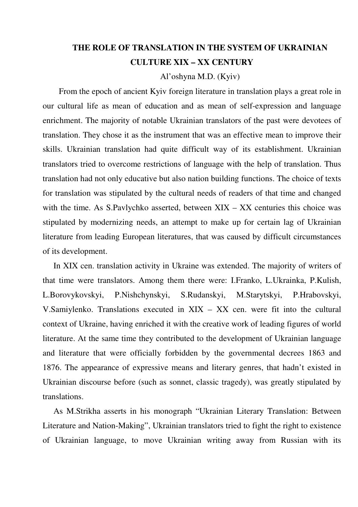## **THE ROLE OF TRANSLATION IN THE SYSTEM OF UKRAINIAN CULTURE XIX – XX CENTURY**

Al'oshyna M.D. (Kyiv)

From the epoch of ancient Kyiv foreign literature in translation plays a great role in our cultural life as mean of education and as mean of self-expression and language enrichment. The majority of notable Ukrainian translators of the past were devotees of translation. They chose it as the instrument that was an effective mean to improve their skills. Ukrainian translation had quite difficult way of its establishment. Ukrainian translators tried to overcome restrictions of language with the help of translation. Thus translation had not only educative but also nation building functions. The choice of texts for translation was stipulated by the cultural needs of readers of that time and changed with the time. As S.Pavlychko asserted, between XIX – XX centuries this choice was stipulated by modernizing needs, an attempt to make up for certain lag of Ukrainian literature from leading European literatures, that was caused by difficult circumstances of its development.

In XIX cen. translation activity in Ukraine was extended. The majority of writers of that time were translators. Among them there were: I.Franko, L.Ukrainka, P.Kulish, L.Borovykovskyi, P.Nishchynskyi, S.Rudanskyi, M.Starytskyi, P.Hrabovskyi, V.Samiylenko. Translations executed in XIX – XX cen. were fit into the cultural context of Ukraine, having enriched it with the creative work of leading figures of world literature. At the same time they contributed to the development of Ukrainian language and literature that were officially forbidden by the governmental decrees 1863 and 1876. The appearance of expressive means and literary genres, that hadn't existed in Ukrainian discourse before (such as sonnet, classic tragedy), was greatly stipulated by translations.

As M.Strikha asserts in his monograph "Ukrainian Literary Translation: Between Literature and Nation-Making", Ukrainian translators tried to fight the right to existence of Ukrainian language, to move Ukrainian writing away from Russian with its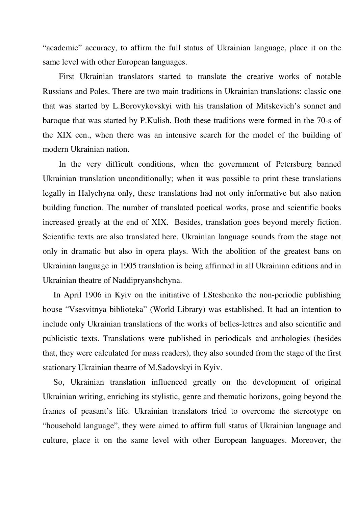"academic" accuracy, to affirm the full status of Ukrainian language, place it on the same level with other European languages.

First Ukrainian translators started to translate the creative works of notable Russians and Poles. There are two main traditions in Ukrainian translations: classic one that was started by L.Borovykovskyi with his translation of Mitskevich's sonnet and baroque that was started by P.Kulish. Both these traditions were formed in the 70-s of the XIX cen., when there was an intensive search for the model of the building of modern Ukrainian nation.

In the very difficult conditions, when the government of Petersburg banned Ukrainian translation unconditionally; when it was possible to print these translations legally in Halychyna only, these translations had not only informative but also nation building function. The number of translated poetical works, prose and scientific books increased greatly at the end of XIX. Besides, translation goes beyond merely fiction. Scientific texts are also translated here. Ukrainian language sounds from the stage not only in dramatic but also in opera plays. With the abolition of the greatest bans on Ukrainian language in 1905 translation is being affirmed in all Ukrainian editions and in Ukrainian theatre of Naddipryanshchyna.

In April 1906 in Kyiv on the initiative of I.Steshenko the non-periodic publishing house "Vsesvitnya biblioteka" (World Library) was established. It had an intention to include only Ukrainian translations of the works of belles-lettres and also scientific and publicistic texts. Translations were published in periodicals and anthologies (besides that, they were calculated for mass readers), they also sounded from the stage of the first stationary Ukrainian theatre of M.Sadovskyi in Kyiv.

So, Ukrainian translation influenced greatly on the development of original Ukrainian writing, enriching its stylistic, genre and thematic horizons, going beyond the frames of peasant's life. Ukrainian translators tried to overcome the stereotype on "household language", they were aimed to affirm full status of Ukrainian language and culture, place it on the same level with other European languages. Moreover, the